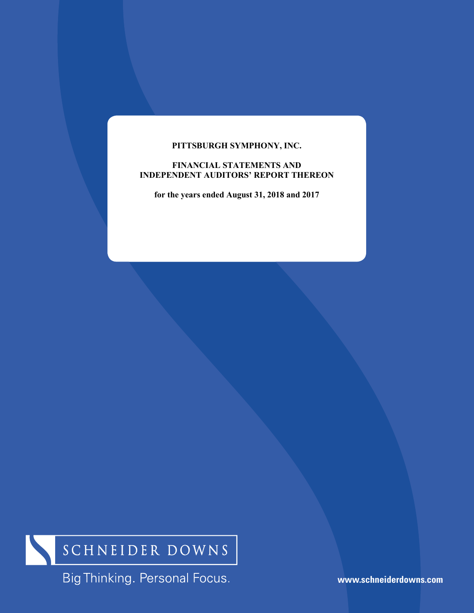### **PITTSBURGH SYMPHONY, INC.**

### **FINANCIAL STATEMENTS AND INDEPENDENT AUDITORS' REPORT THEREON**

**for the years ended August 31, 2018 and 2017** 



Big Thinking. Personal Focus.

**www.schneiderdowns.com**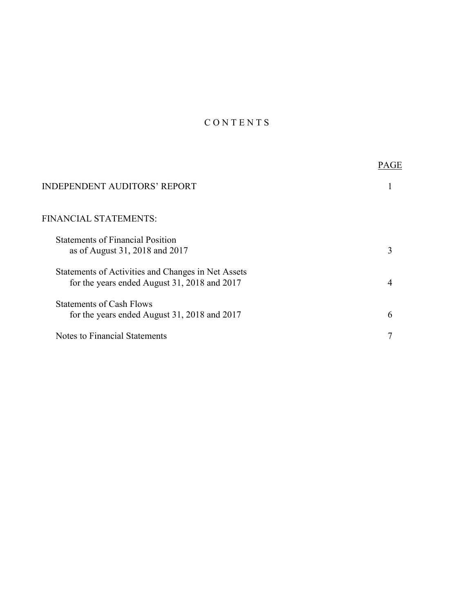# C O N T E N T S

| <b>INDEPENDENT AUDITORS' REPORT</b>                                                                |   |
|----------------------------------------------------------------------------------------------------|---|
| FINANCIAL STATEMENTS:                                                                              |   |
| <b>Statements of Financial Position</b><br>as of August 31, 2018 and 2017                          |   |
| Statements of Activities and Changes in Net Assets<br>for the years ended August 31, 2018 and 2017 |   |
| <b>Statements of Cash Flows</b><br>for the years ended August 31, 2018 and 2017                    | 6 |
| Notes to Financial Statements                                                                      |   |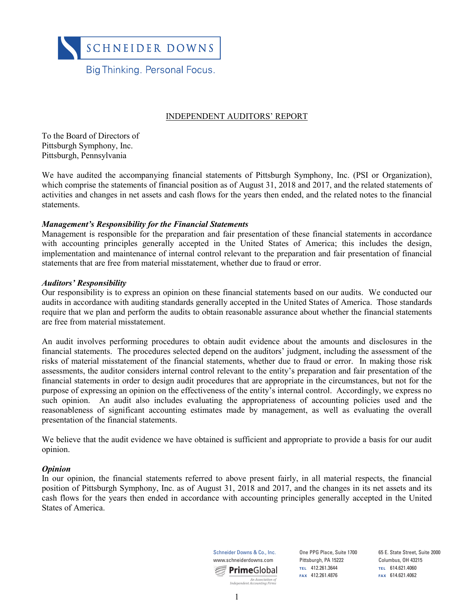

#### INDEPENDENT AUDITORS' REPORT

To the Board of Directors of Pittsburgh Symphony, Inc. Pittsburgh, Pennsylvania

We have audited the accompanying financial statements of Pittsburgh Symphony, Inc. (PSI or Organization), which comprise the statements of financial position as of August 31, 2018 and 2017, and the related statements of activities and changes in net assets and cash flows for the years then ended, and the related notes to the financial statements.

#### *Management's Responsibility for the Financial Statements*

Management is responsible for the preparation and fair presentation of these financial statements in accordance with accounting principles generally accepted in the United States of America; this includes the design, implementation and maintenance of internal control relevant to the preparation and fair presentation of financial statements that are free from material misstatement, whether due to fraud or error.

#### *Auditors' Responsibility*

Our responsibility is to express an opinion on these financial statements based on our audits. We conducted our audits in accordance with auditing standards generally accepted in the United States of America. Those standards require that we plan and perform the audits to obtain reasonable assurance about whether the financial statements are free from material misstatement.

An audit involves performing procedures to obtain audit evidence about the amounts and disclosures in the financial statements. The procedures selected depend on the auditors' judgment, including the assessment of the risks of material misstatement of the financial statements, whether due to fraud or error. In making those risk assessments, the auditor considers internal control relevant to the entity's preparation and fair presentation of the financial statements in order to design audit procedures that are appropriate in the circumstances, but not for the purpose of expressing an opinion on the effectiveness of the entity's internal control. Accordingly, we express no such opinion. An audit also includes evaluating the appropriateness of accounting policies used and the reasonableness of significant accounting estimates made by management, as well as evaluating the overall presentation of the financial statements.

We believe that the audit evidence we have obtained is sufficient and appropriate to provide a basis for our audit opinion.

#### *Opinion*

In our opinion, the financial statements referred to above present fairly, in all material respects, the financial position of Pittsburgh Symphony, Inc. as of August 31, 2018 and 2017, and the changes in its net assets and its cash flows for the years then ended in accordance with accounting principles generally accepted in the United States of America.



One PPG Place, Suite 1700 Pittsburgh, PA 15222 **TEL** 412.261.3644 **FAX** 412.261.4876 **FAX** 614.621.4062 *An Association of* 

65 E. State Street, Suite 2000 Columbus, OH 43215 **TEL** 614.621.4060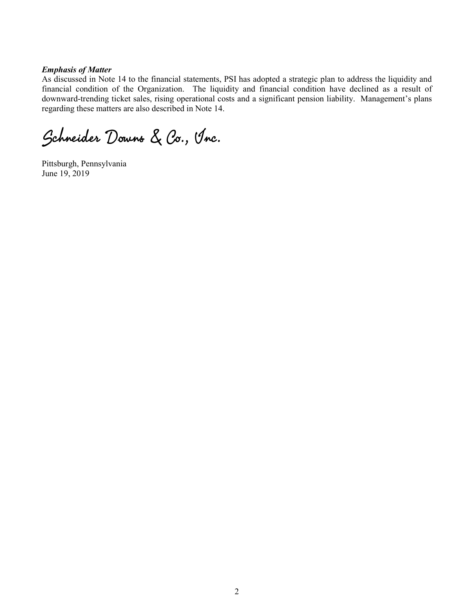#### *Emphasis of Matter*

As discussed in Note 14 to the financial statements, PSI has adopted a strategic plan to address the liquidity and financial condition of the Organization. The liquidity and financial condition have declined as a result of downward-trending ticket sales, rising operational costs and a significant pension liability. Management's plans regarding these matters are also described in Note 14.

Schneider Downs & Co., Inc.

Pittsburgh, Pennsylvania June 19, 2019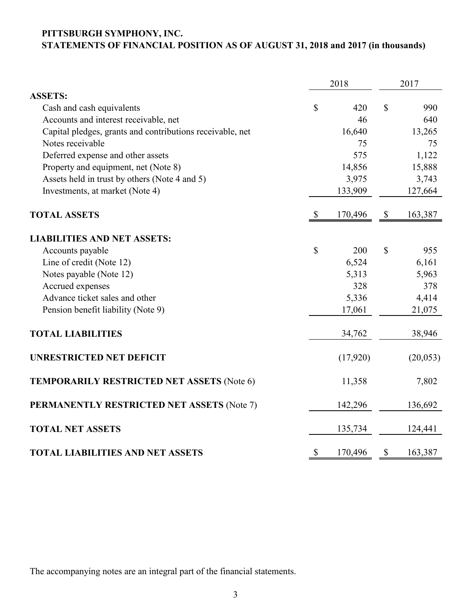# **PITTSBURGH SYMPHONY, INC. STATEMENTS OF FINANCIAL POSITION AS OF AUGUST 31, 2018 and 2017 (in thousands)**

|                                                           |               | 2018     | 2017                      |           |  |
|-----------------------------------------------------------|---------------|----------|---------------------------|-----------|--|
| <b>ASSETS:</b>                                            |               |          |                           |           |  |
| Cash and cash equivalents                                 | \$            | 420      | \$                        | 990       |  |
| Accounts and interest receivable, net                     |               | 46       |                           | 640       |  |
| Capital pledges, grants and contributions receivable, net |               | 16,640   |                           | 13,265    |  |
| Notes receivable                                          |               | 75       |                           | 75        |  |
| Deferred expense and other assets                         |               | 575      |                           | 1,122     |  |
| Property and equipment, net (Note 8)                      |               | 14,856   |                           | 15,888    |  |
| Assets held in trust by others (Note 4 and 5)             |               | 3,975    |                           | 3,743     |  |
| Investments, at market (Note 4)                           |               | 133,909  |                           | 127,664   |  |
| <b>TOTAL ASSETS</b>                                       | <sup>\$</sup> | 170,496  | \$                        | 163,387   |  |
| <b>LIABILITIES AND NET ASSETS:</b>                        |               |          |                           |           |  |
| Accounts payable                                          | \$            | 200      | \$                        | 955       |  |
| Line of credit (Note 12)                                  |               | 6,524    |                           | 6,161     |  |
| Notes payable (Note 12)                                   |               | 5,313    |                           | 5,963     |  |
| Accrued expenses                                          |               | 328      |                           | 378       |  |
| Advance ticket sales and other                            |               | 5,336    |                           | 4,414     |  |
| Pension benefit liability (Note 9)                        |               | 17,061   |                           | 21,075    |  |
| <b>TOTAL LIABILITIES</b>                                  |               | 34,762   |                           | 38,946    |  |
| <b>UNRESTRICTED NET DEFICIT</b>                           |               | (17,920) |                           | (20, 053) |  |
| <b>TEMPORARILY RESTRICTED NET ASSETS (Note 6)</b>         |               | 11,358   |                           | 7,802     |  |
| PERMANENTLY RESTRICTED NET ASSETS (Note 7)                |               | 142,296  |                           | 136,692   |  |
| <b>TOTAL NET ASSETS</b>                                   |               | 135,734  |                           | 124,441   |  |
| <b>TOTAL LIABILITIES AND NET ASSETS</b>                   | \$            | 170,496  | $\boldsymbol{\mathsf{S}}$ | 163,387   |  |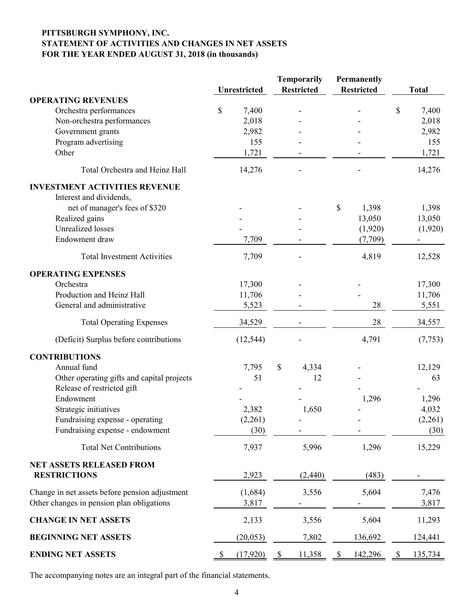### **PITTSBURGH SYMPHONY, INC. STATEMENT OF ACTIVITIES AND CHANGES IN NET ASSETS FOR THE YEAR ENDED AUGUST 31, 2018 (in thousands)**

|                                                |                     | <b>Temporarily</b>     | <b>Permanently</b> |                          |
|------------------------------------------------|---------------------|------------------------|--------------------|--------------------------|
|                                                | <b>Unrestricted</b> | <b>Restricted</b>      | <b>Restricted</b>  | <b>Total</b>             |
| <b>OPERATING REVENUES</b>                      |                     |                        |                    |                          |
| Orchestra performances                         | \$<br>7,400         |                        |                    | \$<br>7,400              |
| Non-orchestra performances                     | 2,018               |                        |                    | 2,018                    |
| Government grants                              | 2,982               |                        |                    | 2,982                    |
| Program advertising                            | 155                 |                        |                    | 155                      |
| Other                                          | 1,721               |                        |                    | 1,721                    |
| Total Orchestra and Heinz Hall                 | 14,276              |                        |                    | 14,276                   |
| <b>INVESTMENT ACTIVITIES REVENUE</b>           |                     |                        |                    |                          |
| Interest and dividends,                        |                     |                        |                    |                          |
| net of manager's fees of \$320                 |                     |                        | \$<br>1,398        | 1,398                    |
| Realized gains                                 |                     |                        | 13,050             | 13,050                   |
| <b>Unrealized</b> losses                       |                     |                        | (1,920)            | (1,920)                  |
| Endowment draw                                 | 7,709               |                        | (7,709)            |                          |
| <b>Total Investment Activities</b>             | 7,709               |                        | 4,819              | 12,528                   |
| <b>OPERATING EXPENSES</b>                      |                     |                        |                    |                          |
| Orchestra                                      | 17,300              |                        |                    | 17,300                   |
| Production and Heinz Hall                      | 11,706              |                        |                    | 11,706                   |
| General and administrative                     | 5,523               |                        | 28                 | 5,551                    |
| <b>Total Operating Expenses</b>                | 34,529              |                        | 28                 | 34,557                   |
| (Deficit) Surplus before contributions         | (12, 544)           |                        | 4,791              | (7, 753)                 |
| <b>CONTRIBUTIONS</b>                           |                     |                        |                    |                          |
| Annual fund                                    | 7,795               | \$<br>4,334            |                    | 12,129                   |
| Other operating gifts and capital projects     | 51                  | 12                     |                    | 63                       |
| Release of restricted gift                     |                     |                        |                    |                          |
| Endowment                                      |                     |                        | 1,296              | 1,296                    |
| Strategic initiatives                          | 2,382               | 1,650                  |                    | 4,032                    |
| Fundraising expense - operating                | (2,261)             |                        |                    | (2,261)                  |
| Fundraising expense - endowment                | (30)                |                        |                    | (30)                     |
| <b>Total Net Contributions</b>                 | 7,937               | 5,996                  | 1,296              | 15,229                   |
| <b>NET ASSETS RELEASED FROM</b>                |                     |                        |                    |                          |
| <b>RESTRICTIONS</b>                            | 2,923               | (2,440)                | (483)              |                          |
| Change in net assets before pension adjustment | (1,684)             | 3,556                  | 5,604              | 7,476                    |
| Other changes in pension plan obligations      | 3,817               |                        |                    | 3,817                    |
| <b>CHANGE IN NET ASSETS</b>                    | 2,133               | 3,556                  | 5,604              | 11,293                   |
| <b>BEGINNING NET ASSETS</b>                    | (20, 053)           | 7,802                  | 136,692            | 124,441                  |
| <b>ENDING NET ASSETS</b>                       | (17,920)            | 11,358<br><sup>2</sup> | 142,296<br>Y.      | 135,734<br><sup>\$</sup> |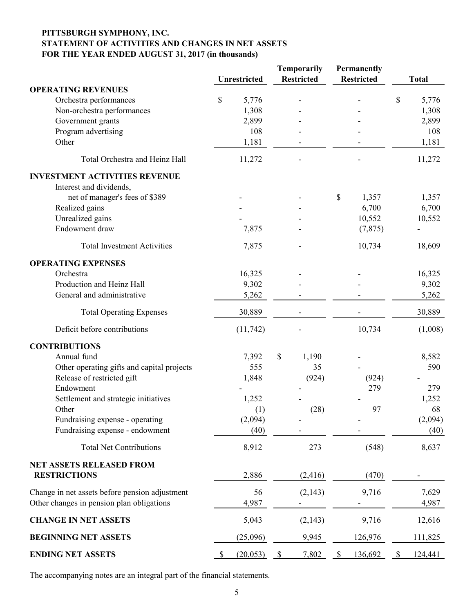### **PITTSBURGH SYMPHONY, INC. STATEMENT OF ACTIVITIES AND CHANGES IN NET ASSETS FOR THE YEAR ENDED AUGUST 31, 2017 (in thousands)**

|                                                |                     |           |              | Temporarily<br><b>Permanently</b> |    |                   |              |              |
|------------------------------------------------|---------------------|-----------|--------------|-----------------------------------|----|-------------------|--------------|--------------|
|                                                | <b>Unrestricted</b> |           |              | <b>Restricted</b>                 |    | <b>Restricted</b> |              | <b>Total</b> |
| <b>OPERATING REVENUES</b>                      |                     |           |              |                                   |    |                   |              |              |
| Orchestra performances                         | \$                  | 5,776     |              |                                   |    |                   | \$           | 5,776        |
| Non-orchestra performances                     |                     | 1,308     |              |                                   |    |                   |              | 1,308        |
| Government grants                              |                     | 2,899     |              |                                   |    |                   |              | 2,899        |
| Program advertising                            |                     | 108       |              |                                   |    |                   |              | 108          |
| Other                                          |                     | 1,181     |              |                                   |    |                   |              | 1,181        |
| Total Orchestra and Heinz Hall                 |                     | 11,272    |              |                                   |    |                   |              | 11,272       |
| <b>INVESTMENT ACTIVITIES REVENUE</b>           |                     |           |              |                                   |    |                   |              |              |
| Interest and dividends,                        |                     |           |              |                                   |    |                   |              |              |
| net of manager's fees of \$389                 |                     |           |              |                                   | \$ | 1,357             |              | 1,357        |
| Realized gains                                 |                     |           |              |                                   |    | 6,700             |              | 6,700        |
| Unrealized gains                               |                     |           |              |                                   |    | 10,552            |              | 10,552       |
| Endowment draw                                 |                     | 7,875     |              |                                   |    | (7, 875)          |              |              |
| <b>Total Investment Activities</b>             |                     | 7,875     |              |                                   |    | 10,734            |              | 18,609       |
| <b>OPERATING EXPENSES</b>                      |                     |           |              |                                   |    |                   |              |              |
| Orchestra                                      |                     | 16,325    |              |                                   |    |                   |              | 16,325       |
| Production and Heinz Hall                      |                     | 9,302     |              |                                   |    |                   |              | 9,302        |
| General and administrative                     |                     | 5,262     |              |                                   |    |                   |              | 5,262        |
|                                                |                     |           |              |                                   |    |                   |              |              |
| <b>Total Operating Expenses</b>                |                     | 30,889    |              |                                   |    |                   |              | 30,889       |
| Deficit before contributions                   |                     | (11, 742) |              |                                   |    | 10,734            |              | (1,008)      |
| <b>CONTRIBUTIONS</b>                           |                     |           |              |                                   |    |                   |              |              |
| Annual fund                                    |                     | 7,392     | $\mathbb{S}$ | 1,190                             |    |                   |              | 8,582        |
| Other operating gifts and capital projects     |                     | 555       |              | 35                                |    |                   |              | 590          |
| Release of restricted gift                     |                     | 1,848     |              | (924)                             |    | (924)             |              |              |
| Endowment                                      |                     |           |              |                                   |    | 279               |              | 279          |
| Settlement and strategic initiatives           |                     | 1,252     |              |                                   |    |                   |              | 1,252        |
| Other                                          |                     | (1)       |              | (28)                              |    | 97                |              | 68           |
| Fundraising expense - operating                |                     | (2,094)   |              |                                   |    |                   |              | (2,094)      |
| Fundraising expense - endowment                |                     | (40)      |              |                                   |    |                   |              | (40)         |
| <b>Total Net Contributions</b>                 |                     | 8,912     |              | 273                               |    | (548)             |              | 8,637        |
| <b>NET ASSETS RELEASED FROM</b>                |                     |           |              |                                   |    |                   |              |              |
| <b>RESTRICTIONS</b>                            |                     | 2,886     |              | (2, 416)                          |    | (470)             |              |              |
| Change in net assets before pension adjustment |                     | 56        |              | (2,143)                           |    | 9,716             |              | 7,629        |
| Other changes in pension plan obligations      |                     | 4,987     |              |                                   |    |                   |              | 4,987        |
| <b>CHANGE IN NET ASSETS</b>                    |                     | 5,043     |              | (2,143)                           |    | 9,716             |              | 12,616       |
| <b>BEGINNING NET ASSETS</b>                    |                     | (25,096)  |              | 9,945                             |    | 126,976           |              | 111,825      |
| <b>ENDING NET ASSETS</b>                       |                     | (20,053)  | <sup>2</sup> | 7,802                             | \$ | 136,692           | $\mathbb{S}$ | 124,441      |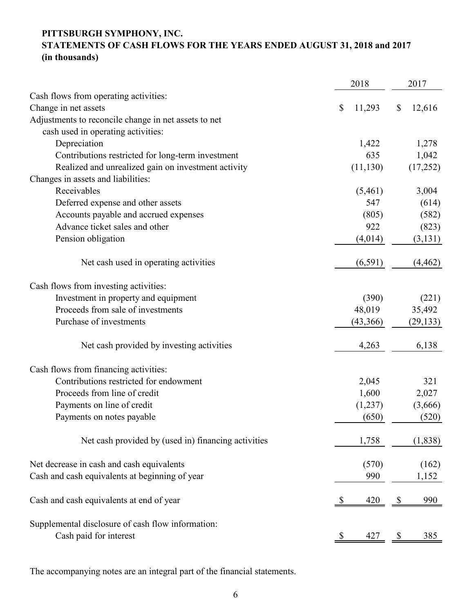## **PITTSBURGH SYMPHONY, INC.**

# **STATEMENTS OF CASH FLOWS FOR THE YEARS ENDED AUGUST 31, 2018 and 2017 (in thousands)**

|                                                      | 2018         | 2017                |  |
|------------------------------------------------------|--------------|---------------------|--|
| Cash flows from operating activities:                |              |                     |  |
| Change in net assets                                 | 11,293<br>\$ | \$<br>12,616        |  |
| Adjustments to reconcile change in net assets to net |              |                     |  |
| cash used in operating activities:                   |              |                     |  |
| Depreciation                                         | 1,422        | 1,278               |  |
| Contributions restricted for long-term investment    | 635          | 1,042               |  |
| Realized and unrealized gain on investment activity  | (11, 130)    | (17,252)            |  |
| Changes in assets and liabilities:                   |              |                     |  |
| Receivables                                          | (5,461)      | 3,004               |  |
| Deferred expense and other assets                    | 547          | (614)               |  |
| Accounts payable and accrued expenses                | (805)        | (582)               |  |
| Advance ticket sales and other                       | 922          | (823)               |  |
| Pension obligation                                   | (4,014)      | (3, 131)            |  |
| Net cash used in operating activities                | (6,591)      | (4, 462)            |  |
| Cash flows from investing activities:                |              |                     |  |
| Investment in property and equipment                 | (390)        | (221)               |  |
| Proceeds from sale of investments                    | 48,019       | 35,492              |  |
| Purchase of investments                              | (43,366)     | (29, 133)           |  |
| Net cash provided by investing activities            | 4,263        | 6,138               |  |
| Cash flows from financing activities:                |              |                     |  |
| Contributions restricted for endowment               | 2,045        | 321                 |  |
| Proceeds from line of credit                         | 1,600        | 2,027               |  |
| Payments on line of credit                           | (1,237)      | (3,666)             |  |
| Payments on notes payable                            | (650)        | (520)               |  |
| Net cash provided by (used in) financing activities  | 1,758        | (1,838)             |  |
| Net decrease in cash and cash equivalents            | (570)        | (162)               |  |
| Cash and cash equivalents at beginning of year       | 990          | 1,152               |  |
| Cash and cash equivalents at end of year             | 420          | 990                 |  |
| Supplemental disclosure of cash flow information:    |              |                     |  |
| Cash paid for interest                               | 427          | 385<br><sup>8</sup> |  |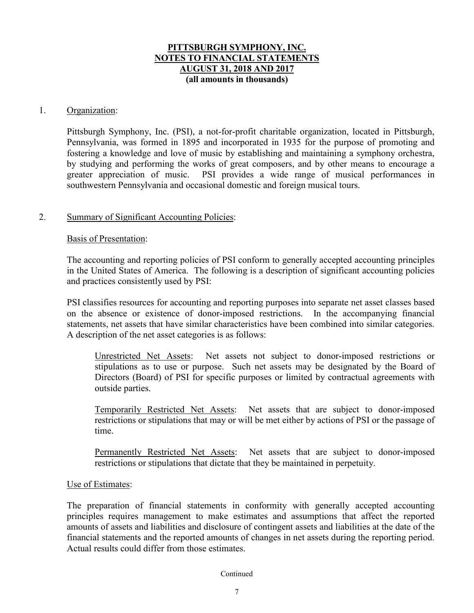### 1. Organization:

Pittsburgh Symphony, Inc. (PSI), a not-for-profit charitable organization, located in Pittsburgh, Pennsylvania, was formed in 1895 and incorporated in 1935 for the purpose of promoting and fostering a knowledge and love of music by establishing and maintaining a symphony orchestra, by studying and performing the works of great composers, and by other means to encourage a greater appreciation of music. PSI provides a wide range of musical performances in southwestern Pennsylvania and occasional domestic and foreign musical tours.

### 2. Summary of Significant Accounting Policies:

### Basis of Presentation:

The accounting and reporting policies of PSI conform to generally accepted accounting principles in the United States of America. The following is a description of significant accounting policies and practices consistently used by PSI:

PSI classifies resources for accounting and reporting purposes into separate net asset classes based on the absence or existence of donor-imposed restrictions. In the accompanying financial statements, net assets that have similar characteristics have been combined into similar categories. A description of the net asset categories is as follows:

Unrestricted Net Assets: Net assets not subject to donor-imposed restrictions or stipulations as to use or purpose. Such net assets may be designated by the Board of Directors (Board) of PSI for specific purposes or limited by contractual agreements with outside parties.

Temporarily Restricted Net Assets: Net assets that are subject to donor-imposed restrictions or stipulations that may or will be met either by actions of PSI or the passage of time.

Permanently Restricted Net Assets: Net assets that are subject to donor-imposed restrictions or stipulations that dictate that they be maintained in perpetuity.

#### Use of Estimates:

The preparation of financial statements in conformity with generally accepted accounting principles requires management to make estimates and assumptions that affect the reported amounts of assets and liabilities and disclosure of contingent assets and liabilities at the date of the financial statements and the reported amounts of changes in net assets during the reporting period. Actual results could differ from those estimates.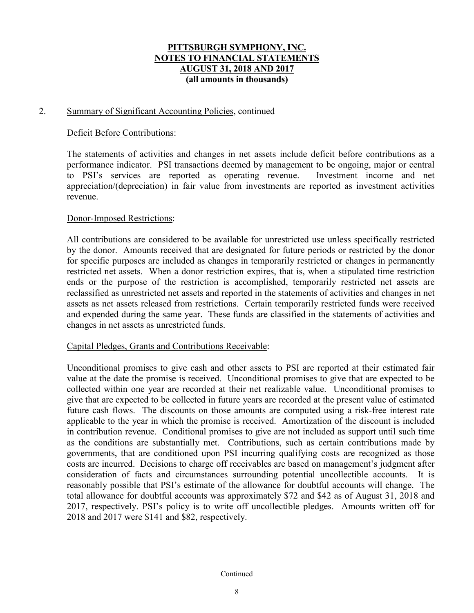### 2. Summary of Significant Accounting Policies, continued

### Deficit Before Contributions:

The statements of activities and changes in net assets include deficit before contributions as a performance indicator. PSI transactions deemed by management to be ongoing, major or central to PSI's services are reported as operating revenue. Investment income and net appreciation/(depreciation) in fair value from investments are reported as investment activities revenue.

### Donor-Imposed Restrictions:

All contributions are considered to be available for unrestricted use unless specifically restricted by the donor. Amounts received that are designated for future periods or restricted by the donor for specific purposes are included as changes in temporarily restricted or changes in permanently restricted net assets. When a donor restriction expires, that is, when a stipulated time restriction ends or the purpose of the restriction is accomplished, temporarily restricted net assets are reclassified as unrestricted net assets and reported in the statements of activities and changes in net assets as net assets released from restrictions. Certain temporarily restricted funds were received and expended during the same year. These funds are classified in the statements of activities and changes in net assets as unrestricted funds.

### Capital Pledges, Grants and Contributions Receivable:

Unconditional promises to give cash and other assets to PSI are reported at their estimated fair value at the date the promise is received. Unconditional promises to give that are expected to be collected within one year are recorded at their net realizable value. Unconditional promises to give that are expected to be collected in future years are recorded at the present value of estimated future cash flows. The discounts on those amounts are computed using a risk-free interest rate applicable to the year in which the promise is received. Amortization of the discount is included in contribution revenue. Conditional promises to give are not included as support until such time as the conditions are substantially met. Contributions, such as certain contributions made by governments, that are conditioned upon PSI incurring qualifying costs are recognized as those costs are incurred. Decisions to charge off receivables are based on management's judgment after consideration of facts and circumstances surrounding potential uncollectible accounts. It is reasonably possible that PSI's estimate of the allowance for doubtful accounts will change. The total allowance for doubtful accounts was approximately \$72 and \$42 as of August 31, 2018 and 2017, respectively. PSI's policy is to write off uncollectible pledges. Amounts written off for 2018 and 2017 were \$141 and \$82, respectively.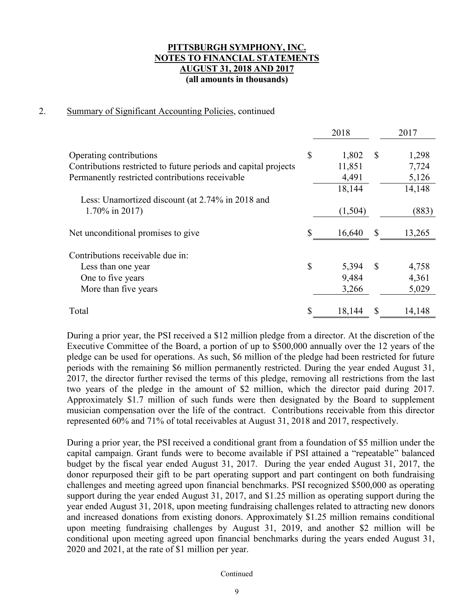### 2. Summary of Significant Accounting Policies, continued

|                                                                 | 2018        |               | 2017   |
|-----------------------------------------------------------------|-------------|---------------|--------|
| Operating contributions                                         | \$<br>1,802 | $\mathcal{S}$ | 1,298  |
| Contributions restricted to future periods and capital projects | 11,851      |               | 7,724  |
| Permanently restricted contributions receivable                 | 4,491       |               | 5,126  |
|                                                                 | 18,144      |               | 14,148 |
| Less: Unamortized discount (at 2.74% in 2018 and                |             |               |        |
| $1.70\%$ in 2017)                                               | (1,504)     |               | (883)  |
| Net unconditional promises to give                              | 16,640      | <sup>\$</sup> | 13,265 |
| Contributions receivable due in:                                |             |               |        |
| Less than one year                                              | \$<br>5,394 | $\mathbb{S}$  | 4,758  |
| One to five years                                               | 9,484       |               | 4,361  |
| More than five years                                            | 3,266       |               | 5,029  |
| Total                                                           | 18,144      | \$            | 14,148 |

During a prior year, the PSI received a \$12 million pledge from a director. At the discretion of the Executive Committee of the Board, a portion of up to \$500,000 annually over the 12 years of the pledge can be used for operations. As such, \$6 million of the pledge had been restricted for future periods with the remaining \$6 million permanently restricted. During the year ended August 31, 2017, the director further revised the terms of this pledge, removing all restrictions from the last two years of the pledge in the amount of \$2 million, which the director paid during 2017. Approximately \$1.7 million of such funds were then designated by the Board to supplement musician compensation over the life of the contract. Contributions receivable from this director represented 60% and 71% of total receivables at August 31, 2018 and 2017, respectively.

During a prior year, the PSI received a conditional grant from a foundation of \$5 million under the capital campaign. Grant funds were to become available if PSI attained a "repeatable" balanced budget by the fiscal year ended August 31, 2017. During the year ended August 31, 2017, the donor repurposed their gift to be part operating support and part contingent on both fundraising challenges and meeting agreed upon financial benchmarks. PSI recognized \$500,000 as operating support during the year ended August 31, 2017, and \$1.25 million as operating support during the year ended August 31, 2018, upon meeting fundraising challenges related to attracting new donors and increased donations from existing donors. Approximately \$1.25 million remains conditional upon meeting fundraising challenges by August 31, 2019, and another \$2 million will be conditional upon meeting agreed upon financial benchmarks during the years ended August 31, 2020 and 2021, at the rate of \$1 million per year.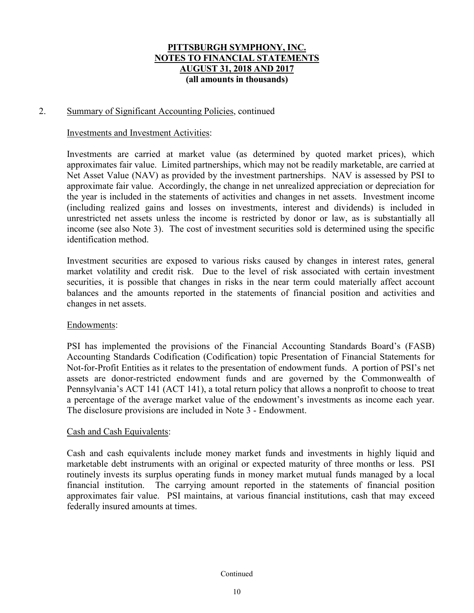### 2. Summary of Significant Accounting Policies, continued

#### Investments and Investment Activities:

Investments are carried at market value (as determined by quoted market prices), which approximates fair value. Limited partnerships, which may not be readily marketable, are carried at Net Asset Value (NAV) as provided by the investment partnerships. NAV is assessed by PSI to approximate fair value. Accordingly, the change in net unrealized appreciation or depreciation for the year is included in the statements of activities and changes in net assets. Investment income (including realized gains and losses on investments, interest and dividends) is included in unrestricted net assets unless the income is restricted by donor or law, as is substantially all income (see also Note 3). The cost of investment securities sold is determined using the specific identification method.

Investment securities are exposed to various risks caused by changes in interest rates, general market volatility and credit risk. Due to the level of risk associated with certain investment securities, it is possible that changes in risks in the near term could materially affect account balances and the amounts reported in the statements of financial position and activities and changes in net assets.

#### Endowments:

PSI has implemented the provisions of the Financial Accounting Standards Board's (FASB) Accounting Standards Codification (Codification) topic Presentation of Financial Statements for Not-for-Profit Entities as it relates to the presentation of endowment funds. A portion of PSI's net assets are donor-restricted endowment funds and are governed by the Commonwealth of Pennsylvania's ACT 141 (ACT 141), a total return policy that allows a nonprofit to choose to treat a percentage of the average market value of the endowment's investments as income each year. The disclosure provisions are included in Note 3 - Endowment.

#### Cash and Cash Equivalents:

Cash and cash equivalents include money market funds and investments in highly liquid and marketable debt instruments with an original or expected maturity of three months or less. PSI routinely invests its surplus operating funds in money market mutual funds managed by a local financial institution. The carrying amount reported in the statements of financial position approximates fair value. PSI maintains, at various financial institutions, cash that may exceed federally insured amounts at times.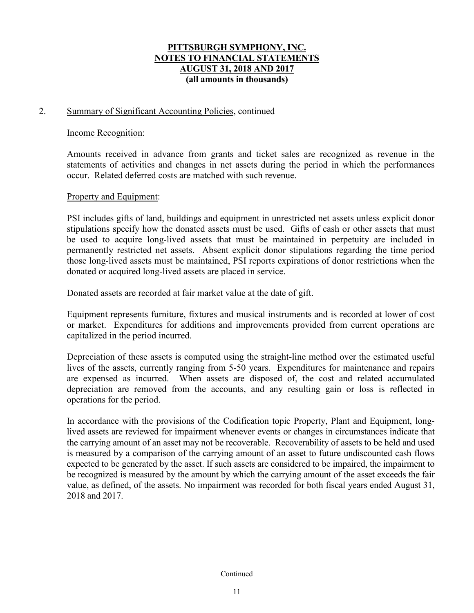### 2. Summary of Significant Accounting Policies, continued

#### Income Recognition:

Amounts received in advance from grants and ticket sales are recognized as revenue in the statements of activities and changes in net assets during the period in which the performances occur. Related deferred costs are matched with such revenue.

### Property and Equipment:

PSI includes gifts of land, buildings and equipment in unrestricted net assets unless explicit donor stipulations specify how the donated assets must be used. Gifts of cash or other assets that must be used to acquire long-lived assets that must be maintained in perpetuity are included in permanently restricted net assets. Absent explicit donor stipulations regarding the time period those long-lived assets must be maintained, PSI reports expirations of donor restrictions when the donated or acquired long-lived assets are placed in service.

Donated assets are recorded at fair market value at the date of gift.

Equipment represents furniture, fixtures and musical instruments and is recorded at lower of cost or market. Expenditures for additions and improvements provided from current operations are capitalized in the period incurred.

Depreciation of these assets is computed using the straight-line method over the estimated useful lives of the assets, currently ranging from 5-50 years. Expenditures for maintenance and repairs are expensed as incurred. When assets are disposed of, the cost and related accumulated depreciation are removed from the accounts, and any resulting gain or loss is reflected in operations for the period.

In accordance with the provisions of the Codification topic Property, Plant and Equipment, longlived assets are reviewed for impairment whenever events or changes in circumstances indicate that the carrying amount of an asset may not be recoverable. Recoverability of assets to be held and used is measured by a comparison of the carrying amount of an asset to future undiscounted cash flows expected to be generated by the asset. If such assets are considered to be impaired, the impairment to be recognized is measured by the amount by which the carrying amount of the asset exceeds the fair value, as defined, of the assets. No impairment was recorded for both fiscal years ended August 31, 2018 and 2017.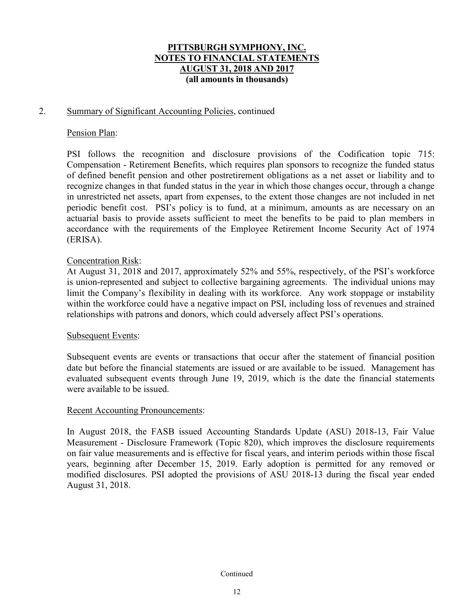### 2. Summary of Significant Accounting Policies, continued

### Pension Plan:

PSI follows the recognition and disclosure provisions of the Codification topic 715: Compensation - Retirement Benefits, which requires plan sponsors to recognize the funded status of defined benefit pension and other postretirement obligations as a net asset or liability and to recognize changes in that funded status in the year in which those changes occur, through a change in unrestricted net assets, apart from expenses, to the extent those changes are not included in net periodic benefit cost. PSI's policy is to fund, at a minimum, amounts as are necessary on an actuarial basis to provide assets sufficient to meet the benefits to be paid to plan members in accordance with the requirements of the Employee Retirement Income Security Act of 1974 (ERISA).

### Concentration Risk:

At August 31, 2018 and 2017, approximately 52% and 55%, respectively, of the PSI's workforce is union-represented and subject to collective bargaining agreements. The individual unions may limit the Company's flexibility in dealing with its workforce. Any work stoppage or instability within the workforce could have a negative impact on PSI, including loss of revenues and strained relationships with patrons and donors, which could adversely affect PSI's operations.

#### Subsequent Events:

Subsequent events are events or transactions that occur after the statement of financial position date but before the financial statements are issued or are available to be issued. Management has evaluated subsequent events through June 19, 2019, which is the date the financial statements were available to be issued.

#### Recent Accounting Pronouncements:

In August 2018, the FASB issued Accounting Standards Update (ASU) 2018-13, Fair Value Measurement - Disclosure Framework (Topic 820), which improves the disclosure requirements on fair value measurements and is effective for fiscal years, and interim periods within those fiscal years, beginning after December 15, 2019. Early adoption is permitted for any removed or modified disclosures. PSI adopted the provisions of ASU 2018-13 during the fiscal year ended August 31, 2018.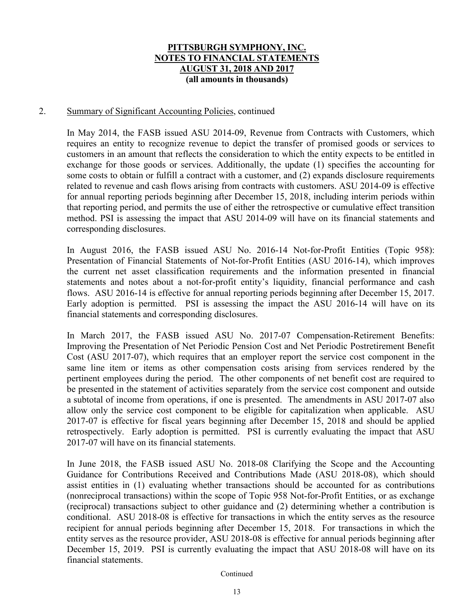### 2. Summary of Significant Accounting Policies, continued

In May 2014, the FASB issued ASU 2014-09, Revenue from Contracts with Customers, which requires an entity to recognize revenue to depict the transfer of promised goods or services to customers in an amount that reflects the consideration to which the entity expects to be entitled in exchange for those goods or services. Additionally, the update (1) specifies the accounting for some costs to obtain or fulfill a contract with a customer, and (2) expands disclosure requirements related to revenue and cash flows arising from contracts with customers. ASU 2014-09 is effective for annual reporting periods beginning after December 15, 2018, including interim periods within that reporting period, and permits the use of either the retrospective or cumulative effect transition method. PSI is assessing the impact that ASU 2014-09 will have on its financial statements and corresponding disclosures.

In August 2016, the FASB issued ASU No. 2016-14 Not-for-Profit Entities (Topic 958): Presentation of Financial Statements of Not-for-Profit Entities (ASU 2016-14), which improves the current net asset classification requirements and the information presented in financial statements and notes about a not-for-profit entity's liquidity, financial performance and cash flows. ASU 2016-14 is effective for annual reporting periods beginning after December 15, 2017. Early adoption is permitted. PSI is assessing the impact the ASU 2016-14 will have on its financial statements and corresponding disclosures.

In March 2017, the FASB issued ASU No. 2017-07 Compensation-Retirement Benefits: Improving the Presentation of Net Periodic Pension Cost and Net Periodic Postretirement Benefit Cost (ASU 2017-07), which requires that an employer report the service cost component in the same line item or items as other compensation costs arising from services rendered by the pertinent employees during the period. The other components of net benefit cost are required to be presented in the statement of activities separately from the service cost component and outside a subtotal of income from operations, if one is presented. The amendments in ASU 2017-07 also allow only the service cost component to be eligible for capitalization when applicable. ASU 2017-07 is effective for fiscal years beginning after December 15, 2018 and should be applied retrospectively. Early adoption is permitted. PSI is currently evaluating the impact that ASU 2017-07 will have on its financial statements.

In June 2018, the FASB issued ASU No. 2018-08 Clarifying the Scope and the Accounting Guidance for Contributions Received and Contributions Made (ASU 2018-08), which should assist entities in (1) evaluating whether transactions should be accounted for as contributions (nonreciprocal transactions) within the scope of Topic 958 Not-for-Profit Entities, or as exchange (reciprocal) transactions subject to other guidance and (2) determining whether a contribution is conditional. ASU 2018-08 is effective for transactions in which the entity serves as the resource recipient for annual periods beginning after December 15, 2018. For transactions in which the entity serves as the resource provider, ASU 2018-08 is effective for annual periods beginning after December 15, 2019. PSI is currently evaluating the impact that ASU 2018-08 will have on its financial statements.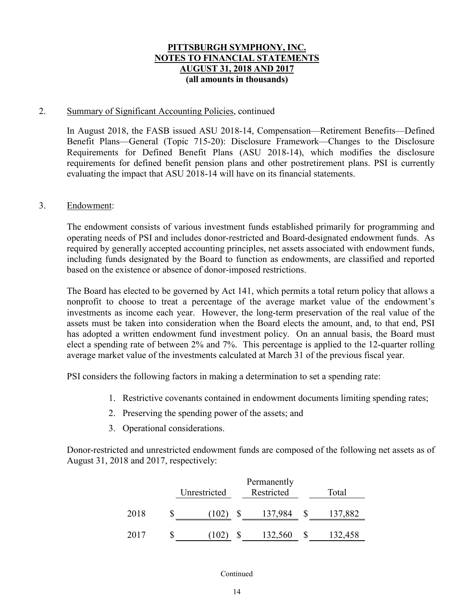### 2. Summary of Significant Accounting Policies, continued

In August 2018, the FASB issued ASU 2018-14, Compensation—Retirement Benefits—Defined Benefit Plans—General (Topic 715-20): Disclosure Framework—Changes to the Disclosure Requirements for Defined Benefit Plans (ASU 2018-14), which modifies the disclosure requirements for defined benefit pension plans and other postretirement plans. PSI is currently evaluating the impact that ASU 2018-14 will have on its financial statements.

### 3. Endowment:

The endowment consists of various investment funds established primarily for programming and operating needs of PSI and includes donor-restricted and Board-designated endowment funds. As required by generally accepted accounting principles, net assets associated with endowment funds, including funds designated by the Board to function as endowments, are classified and reported based on the existence or absence of donor-imposed restrictions.

The Board has elected to be governed by Act 141, which permits a total return policy that allows a nonprofit to choose to treat a percentage of the average market value of the endowment's investments as income each year. However, the long-term preservation of the real value of the assets must be taken into consideration when the Board elects the amount, and, to that end, PSI has adopted a written endowment fund investment policy. On an annual basis, the Board must elect a spending rate of between 2% and 7%. This percentage is applied to the 12-quarter rolling average market value of the investments calculated at March 31 of the previous fiscal year.

PSI considers the following factors in making a determination to set a spending rate:

- 1. Restrictive covenants contained in endowment documents limiting spending rates;
- 2. Preserving the spending power of the assets; and
- 3. Operational considerations.

Donor-restricted and unrestricted endowment funds are composed of the following net assets as of August 31, 2018 and 2017, respectively:

|      | Unrestricted | Total   |         |
|------|--------------|---------|---------|
| 2018 | T0Z)         | 137,984 | 137,882 |
| 2017 | 102          | 132,560 | 132,458 |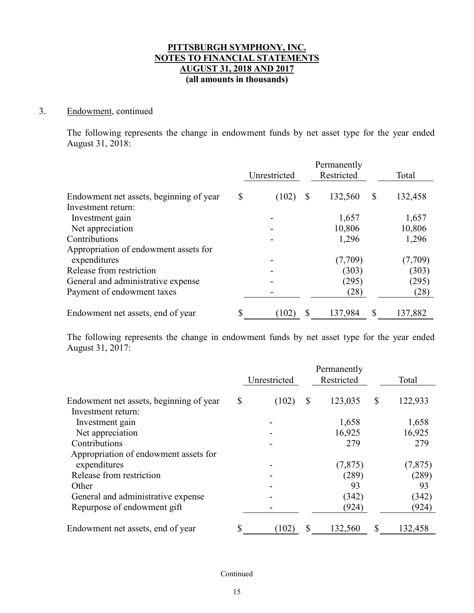### 3. Endowment, continued

The following represents the change in endowment funds by net asset type for the year ended August 31, 2018:

|                                         |    |              |    | Permanently |    |         |
|-----------------------------------------|----|--------------|----|-------------|----|---------|
|                                         |    | Unrestricted |    | Restricted  |    | Total   |
| Endowment net assets, beginning of year | \$ | (102)        | S  | 132,560     | S  | 132,458 |
| Investment return:                      |    |              |    |             |    |         |
| Investment gain                         |    |              |    | 1,657       |    | 1,657   |
| Net appreciation                        |    |              |    | 10,806      |    | 10,806  |
| Contributions                           |    |              |    | 1,296       |    | 1,296   |
| Appropriation of endowment assets for   |    |              |    |             |    |         |
| expenditures                            |    |              |    | (7,709)     |    | (7,709) |
| Release from restriction                |    |              |    | (303)       |    | (303)   |
| General and administrative expense      |    |              |    | (295)       |    | (295)   |
| Payment of endowment taxes              |    |              |    | (28)        |    | (28)    |
| Endowment net assets, end of year       | S  | (102)        | \$ | 137,984     | \$ | 137,882 |

The following represents the change in endowment funds by net asset type for the year ended August 31, 2017:

|                                         | Unrestricted | Permanently<br>Restricted | Total         |
|-----------------------------------------|--------------|---------------------------|---------------|
| Endowment net assets, beginning of year | \$<br>(102)  | \$<br>123,035             | \$<br>122,933 |
| Investment return:                      |              |                           |               |
| Investment gain                         |              | 1,658                     | 1,658         |
| Net appreciation                        |              | 16,925                    | 16,925        |
| Contributions                           |              | 279                       | 279           |
| Appropriation of endowment assets for   |              |                           |               |
| expenditures                            |              | (7, 875)                  | (7, 875)      |
| Release from restriction                |              | (289)                     | (289)         |
| Other                                   |              | 93                        | 93            |
| General and administrative expense      |              | (342)                     | (342)         |
| Repurpose of endowment gift             |              | (924)                     | (924)         |
| Endowment net assets, end of year       | \$<br>(102)  | \$<br>132,560             | \$<br>132,458 |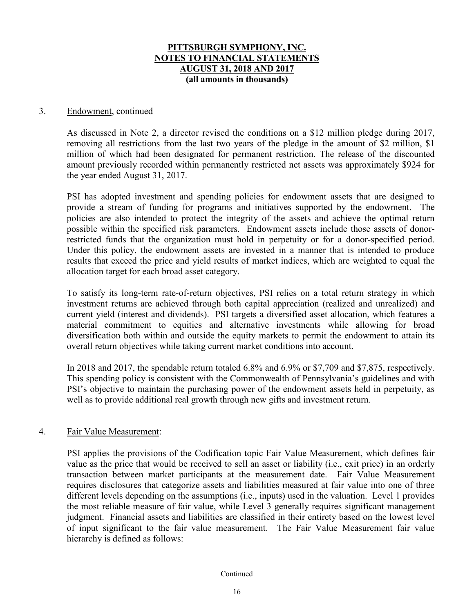### 3. Endowment, continued

As discussed in Note 2, a director revised the conditions on a \$12 million pledge during 2017, removing all restrictions from the last two years of the pledge in the amount of \$2 million, \$1 million of which had been designated for permanent restriction. The release of the discounted amount previously recorded within permanently restricted net assets was approximately \$924 for the year ended August 31, 2017.

PSI has adopted investment and spending policies for endowment assets that are designed to provide a stream of funding for programs and initiatives supported by the endowment. The policies are also intended to protect the integrity of the assets and achieve the optimal return possible within the specified risk parameters. Endowment assets include those assets of donorrestricted funds that the organization must hold in perpetuity or for a donor-specified period. Under this policy, the endowment assets are invested in a manner that is intended to produce results that exceed the price and yield results of market indices, which are weighted to equal the allocation target for each broad asset category.

To satisfy its long-term rate-of-return objectives, PSI relies on a total return strategy in which investment returns are achieved through both capital appreciation (realized and unrealized) and current yield (interest and dividends). PSI targets a diversified asset allocation, which features a material commitment to equities and alternative investments while allowing for broad diversification both within and outside the equity markets to permit the endowment to attain its overall return objectives while taking current market conditions into account.

In 2018 and 2017, the spendable return totaled 6.8% and 6.9% or \$7,709 and \$7,875, respectively. This spending policy is consistent with the Commonwealth of Pennsylvania's guidelines and with PSI's objective to maintain the purchasing power of the endowment assets held in perpetuity, as well as to provide additional real growth through new gifts and investment return.

### 4. Fair Value Measurement:

PSI applies the provisions of the Codification topic Fair Value Measurement, which defines fair value as the price that would be received to sell an asset or liability (i.e., exit price) in an orderly transaction between market participants at the measurement date. Fair Value Measurement requires disclosures that categorize assets and liabilities measured at fair value into one of three different levels depending on the assumptions (i.e., inputs) used in the valuation. Level 1 provides the most reliable measure of fair value, while Level 3 generally requires significant management judgment. Financial assets and liabilities are classified in their entirety based on the lowest level of input significant to the fair value measurement. The Fair Value Measurement fair value hierarchy is defined as follows: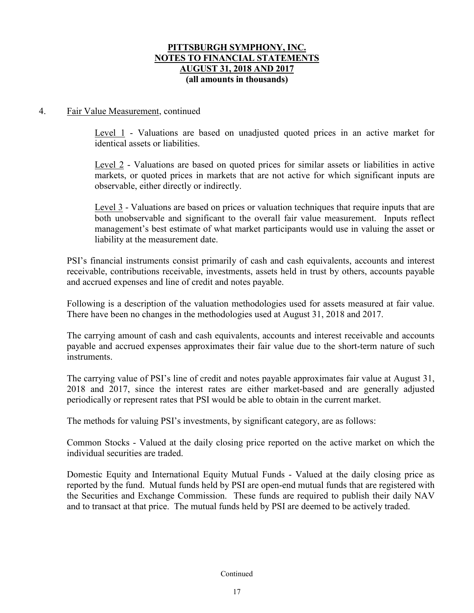### 4. Fair Value Measurement, continued

Level 1 - Valuations are based on unadjusted quoted prices in an active market for identical assets or liabilities.

Level 2 - Valuations are based on quoted prices for similar assets or liabilities in active markets, or quoted prices in markets that are not active for which significant inputs are observable, either directly or indirectly.

Level 3 - Valuations are based on prices or valuation techniques that require inputs that are both unobservable and significant to the overall fair value measurement. Inputs reflect management's best estimate of what market participants would use in valuing the asset or liability at the measurement date.

PSI's financial instruments consist primarily of cash and cash equivalents, accounts and interest receivable, contributions receivable, investments, assets held in trust by others, accounts payable and accrued expenses and line of credit and notes payable.

Following is a description of the valuation methodologies used for assets measured at fair value. There have been no changes in the methodologies used at August 31, 2018 and 2017.

The carrying amount of cash and cash equivalents, accounts and interest receivable and accounts payable and accrued expenses approximates their fair value due to the short-term nature of such instruments.

The carrying value of PSI's line of credit and notes payable approximates fair value at August 31, 2018 and 2017, since the interest rates are either market-based and are generally adjusted periodically or represent rates that PSI would be able to obtain in the current market.

The methods for valuing PSI's investments, by significant category, are as follows:

Common Stocks - Valued at the daily closing price reported on the active market on which the individual securities are traded.

Domestic Equity and International Equity Mutual Funds - Valued at the daily closing price as reported by the fund. Mutual funds held by PSI are open-end mutual funds that are registered with the Securities and Exchange Commission. These funds are required to publish their daily NAV and to transact at that price. The mutual funds held by PSI are deemed to be actively traded.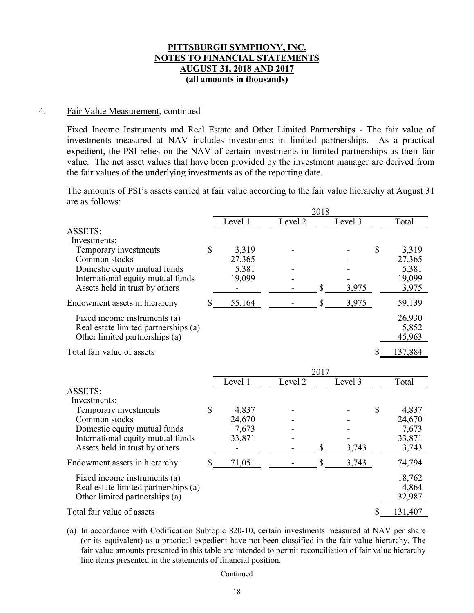#### 4. Fair Value Measurement, continued

Fixed Income Instruments and Real Estate and Other Limited Partnerships - The fair value of investments measured at NAV includes investments in limited partnerships. As a practical expedient, the PSI relies on the NAV of certain investments in limited partnerships as their fair value. The net asset values that have been provided by the investment manager are derived from the fair values of the underlying investments as of the reporting date.

The amounts of PSI's assets carried at fair value according to the fair value hierarchy at August 31 are as follows:

|                                      | 2018         |                    |              |         |    |         |  |  |
|--------------------------------------|--------------|--------------------|--------------|---------|----|---------|--|--|
|                                      | Level 1      | Level <sub>2</sub> |              | Level 3 |    | Total   |  |  |
| <b>ASSETS:</b>                       |              |                    |              |         |    |         |  |  |
| Investments:                         |              |                    |              |         |    |         |  |  |
| Temporary investments                | \$<br>3,319  |                    |              |         | \$ | 3,319   |  |  |
| Common stocks                        | 27,365       |                    |              |         |    | 27,365  |  |  |
| Domestic equity mutual funds         | 5,381        |                    |              |         |    | 5,381   |  |  |
| International equity mutual funds    | 19,099       |                    |              |         |    | 19,099  |  |  |
| Assets held in trust by others       |              |                    | $\mathbb{S}$ | 3,975   |    | 3,975   |  |  |
| Endowment assets in hierarchy        | \$<br>55,164 |                    | $\mathbb{S}$ | 3,975   |    | 59,139  |  |  |
| Fixed income instruments (a)         |              |                    |              |         |    | 26,930  |  |  |
| Real estate limited partnerships (a) |              |                    |              |         |    | 5,852   |  |  |
| Other limited partnerships (a)       |              |                    |              |         |    | 45,963  |  |  |
| Total fair value of assets           |              |                    |              |         | \$ | 137,884 |  |  |
|                                      |              |                    | 2017         |         |    |         |  |  |
|                                      | Level 1      | Level 2            |              | Level 3 |    | Total   |  |  |
| <b>ASSETS:</b>                       |              |                    |              |         |    |         |  |  |
| Investments:                         |              |                    |              |         |    |         |  |  |
| Temporary investments                | \$<br>4,837  |                    |              |         | \$ | 4,837   |  |  |
| Common stocks                        | 24,670       |                    |              |         |    | 24,670  |  |  |
| Domestic equity mutual funds         | 7,673        |                    |              |         |    | 7,673   |  |  |
| International equity mutual funds    | 33,871       |                    |              |         |    | 33,871  |  |  |
| Assets held in trust by others       |              |                    | \$           | 3,743   |    | 3,743   |  |  |
| Endowment assets in hierarchy        | \$<br>71,051 |                    | \$           | 3,743   |    | 74,794  |  |  |
| Fixed income instruments (a)         |              |                    |              |         |    | 18,762  |  |  |
| Real estate limited partnerships (a) |              |                    |              |         |    | 4,864   |  |  |
| Other limited partnerships (a)       |              |                    |              |         |    | 32,987  |  |  |
| Total fair value of assets           |              |                    |              |         | \$ | 131,407 |  |  |

(a) In accordance with Codification Subtopic 820-10, certain investments measured at NAV per share (or its equivalent) as a practical expedient have not been classified in the fair value hierarchy. The fair value amounts presented in this table are intended to permit reconciliation of fair value hierarchy line items presented in the statements of financial position.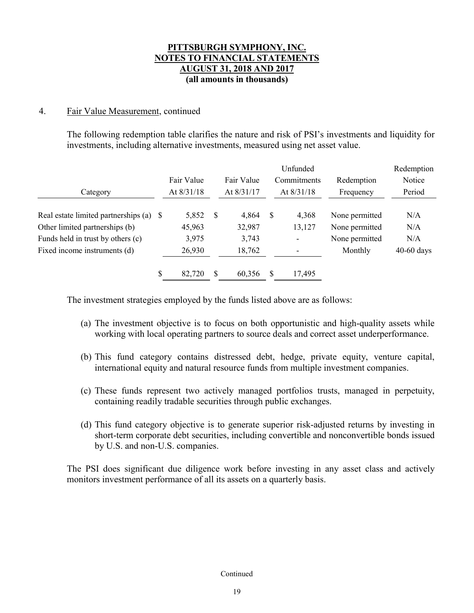### 4. Fair Value Measurement, continued

The following redemption table clarifies the nature and risk of PSI's investments and liquidity for investments, including alternative investments, measured using net asset value.

|                                         |   |            |   |            |   | Unfunded     |                | Redemption   |
|-----------------------------------------|---|------------|---|------------|---|--------------|----------------|--------------|
|                                         |   | Fair Value |   | Fair Value |   | Commitments  | Redemption     | Notice       |
| Category                                |   | At 8/31/18 |   | At 8/31/17 |   | At $8/31/18$ | Frequency      | Period       |
|                                         |   |            |   |            |   |              |                |              |
| Real estate limited partnerships (a) \$ |   | 5,852      | S | 4,864      | S | 4,368        | None permitted | N/A          |
| Other limited partnerships (b)          |   | 45,963     |   | 32,987     |   | 13,127       | None permitted | N/A          |
| Funds held in trust by others (c)       |   | 3,975      |   | 3,743      |   |              | None permitted | N/A          |
| Fixed income instruments (d)            |   | 26,930     |   | 18,762     |   |              | Monthly        | $40-60$ days |
|                                         | S | 82,720     | S | 60,356     | S | 17,495       |                |              |

The investment strategies employed by the funds listed above are as follows:

- (a) The investment objective is to focus on both opportunistic and high-quality assets while working with local operating partners to source deals and correct asset underperformance.
- (b) This fund category contains distressed debt, hedge, private equity, venture capital, international equity and natural resource funds from multiple investment companies.
- (c) These funds represent two actively managed portfolios trusts, managed in perpetuity, containing readily tradable securities through public exchanges.
- (d) This fund category objective is to generate superior risk-adjusted returns by investing in short-term corporate debt securities, including convertible and nonconvertible bonds issued by U.S. and non-U.S. companies.

The PSI does significant due diligence work before investing in any asset class and actively monitors investment performance of all its assets on a quarterly basis.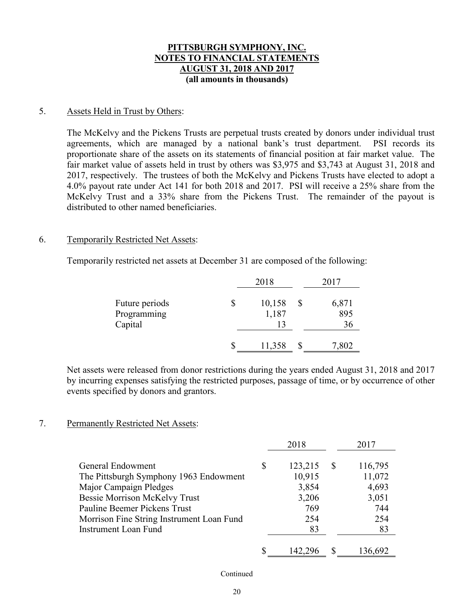### 5. Assets Held in Trust by Others:

The McKelvy and the Pickens Trusts are perpetual trusts created by donors under individual trust agreements, which are managed by a national bank's trust department. PSI records its proportionate share of the assets on its statements of financial position at fair market value. The fair market value of assets held in trust by others was \$3,975 and \$3,743 at August 31, 2018 and 2017, respectively. The trustees of both the McKelvy and Pickens Trusts have elected to adopt a 4.0% payout rate under Act 141 for both 2018 and 2017. PSI will receive a 25% share from the McKelvy Trust and a 33% share from the Pickens Trust. The remainder of the payout is distributed to other named beneficiaries.

### 6. Temporarily Restricted Net Assets:

Temporarily restricted net assets at December 31 are composed of the following:

|                                          | 2018                  | 2017         |
|------------------------------------------|-----------------------|--------------|
| Future periods<br>Programming<br>Capital | \$<br>10,158<br>1,187 | 6,871<br>895 |
|                                          | \$<br>11,358          | 7,802        |

Net assets were released from donor restrictions during the years ended August 31, 2018 and 2017 by incurring expenses satisfying the restricted purposes, passage of time, or by occurrence of other events specified by donors and grantors.

### 7. Permanently Restricted Net Assets:

|                                           |    | 2018    |              | 2017    |
|-------------------------------------------|----|---------|--------------|---------|
| General Endowment                         | \$ | 123,215 | <sup>S</sup> | 116,795 |
| The Pittsburgh Symphony 1963 Endowment    |    | 10,915  |              | 11,072  |
| Major Campaign Pledges                    |    | 3,854   |              | 4,693   |
| <b>Bessie Morrison McKelvy Trust</b>      |    | 3,206   |              | 3,051   |
| Pauline Beemer Pickens Trust              |    | 769     |              | 744     |
| Morrison Fine String Instrument Loan Fund |    | 254     |              | 254     |
| <b>Instrument Loan Fund</b>               |    | 83      |              | 83      |
|                                           |    |         |              |         |
|                                           | S  | 142,296 | <b>S</b>     | 136,692 |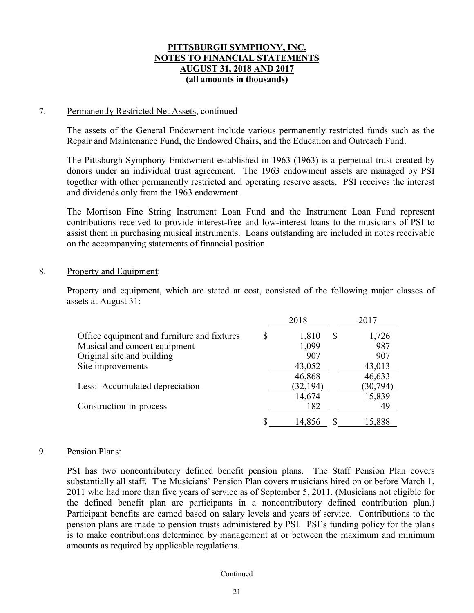#### 7. Permanently Restricted Net Assets, continued

The assets of the General Endowment include various permanently restricted funds such as the Repair and Maintenance Fund, the Endowed Chairs, and the Education and Outreach Fund.

The Pittsburgh Symphony Endowment established in 1963 (1963) is a perpetual trust created by donors under an individual trust agreement. The 1963 endowment assets are managed by PSI together with other permanently restricted and operating reserve assets. PSI receives the interest and dividends only from the 1963 endowment.

The Morrison Fine String Instrument Loan Fund and the Instrument Loan Fund represent contributions received to provide interest-free and low-interest loans to the musicians of PSI to assist them in purchasing musical instruments. Loans outstanding are included in notes receivable on the accompanying statements of financial position.

### 8. Property and Equipment:

Property and equipment, which are stated at cost, consisted of the following major classes of assets at August 31:

|                                             |   | 2018      |              | 2017      |
|---------------------------------------------|---|-----------|--------------|-----------|
| Office equipment and furniture and fixtures | S | 1,810     | <sup>S</sup> | 1,726     |
| Musical and concert equipment               |   | 1,099     |              | 987       |
| Original site and building                  |   | 907       |              | 907       |
| Site improvements                           |   | 43,052    |              | 43,013    |
|                                             |   | 46,868    |              | 46,633    |
| Less: Accumulated depreciation              |   | (32, 194) |              | (30, 794) |
|                                             |   | 14,674    |              | 15,839    |
| Construction-in-process                     |   | 182       |              | 49        |
|                                             |   | 14,856    |              | 15,888    |

### 9. Pension Plans:

PSI has two noncontributory defined benefit pension plans. The Staff Pension Plan covers substantially all staff. The Musicians' Pension Plan covers musicians hired on or before March 1, 2011 who had more than five years of service as of September 5, 2011. (Musicians not eligible for the defined benefit plan are participants in a noncontributory defined contribution plan.) Participant benefits are earned based on salary levels and years of service. Contributions to the pension plans are made to pension trusts administered by PSI. PSI's funding policy for the plans is to make contributions determined by management at or between the maximum and minimum amounts as required by applicable regulations.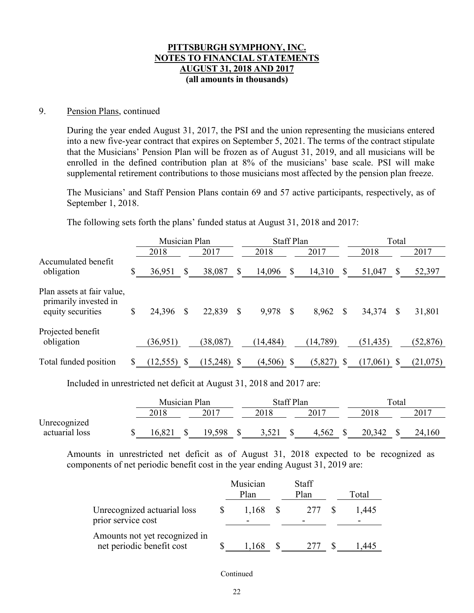#### 9. Pension Plans, continued

During the year ended August 31, 2017, the PSI and the union representing the musicians entered into a new five-year contract that expires on September 5, 2021. The terms of the contract stipulate that the Musicians' Pension Plan will be frozen as of August 31, 2019, and all musicians will be enrolled in the defined contribution plan at 8% of the musicians' base scale. PSI will make supplemental retirement contributions to those musicians most affected by the pension plan freeze.

The Musicians' and Staff Pension Plans contain 69 and 57 active participants, respectively, as of September 1, 2018.

The following sets forth the plans' funded status at August 31, 2018 and 2017:

|                                                                          |    | Musician Plan |          |          |              | <b>Staff Plan</b> |    |           |               | Total        |           |  |  |
|--------------------------------------------------------------------------|----|---------------|----------|----------|--------------|-------------------|----|-----------|---------------|--------------|-----------|--|--|
|                                                                          |    | 2018          |          | 2017     |              | 2018              |    | 2017      |               | 2018         | 2017      |  |  |
| Accumulated benefit<br>obligation                                        | S  | 36,951        | S        | 38,087   | S            | 14,096            | S  | 14,310    | $\mathcal{S}$ | 51,047<br>\$ | 52,397    |  |  |
| Plan assets at fair value,<br>primarily invested in<br>equity securities | \$ | 24,396        | <b>S</b> | 22,839   | <sup>S</sup> | 9,978             | S  | 8,962     | S             | 34,374<br>S  | 31,801    |  |  |
| Projected benefit<br>obligation                                          |    | (36,951)      |          | (38,087) |              | (14, 484)         |    | (14, 789) |               | (51, 435)    | (52, 876) |  |  |
| Total funded position                                                    |    | $(12,555)$ \$ |          | (15,248) |              | (4,506)           | -S | (5,827)   |               | (17,061)     | (21, 075) |  |  |

Included in unrestricted net deficit at August 31, 2018 and 2017 are:

|                | Musician Plan    |  |          | <b>Staff Plan</b> |  |       |  | Total  |  |        |  |
|----------------|------------------|--|----------|-------------------|--|-------|--|--------|--|--------|--|
|                | 2018             |  | 2017     | 2018              |  | 2017  |  |        |  | 2017   |  |
| Unrecognized   |                  |  |          |                   |  |       |  |        |  |        |  |
| actuarial loss | .82 <sub>1</sub> |  | 598<br>Q |                   |  | 4,562 |  | 20,342 |  | 24,160 |  |

Amounts in unrestricted net deficit as of August 31, 2018 expected to be recognized as components of net periodic benefit cost in the year ending August 31, 2019 are:

|                                                            | Musician<br>Plan | <b>Staff</b><br>Plan | Total |
|------------------------------------------------------------|------------------|----------------------|-------|
| Unrecognized actuarial loss<br>prior service cost          | 1,168            | 277                  | 1.445 |
| Amounts not yet recognized in<br>net periodic benefit cost | 1.168            |                      |       |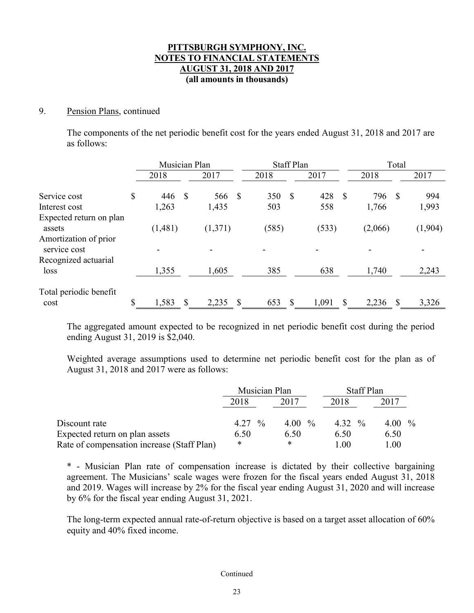### 9. Pension Plans, continued

The components of the net periodic benefit cost for the years ended August 31, 2018 and 2017 are as follows:

|                                       | Musician Plan |   |         |               | <b>Staff Plan</b> |   | Total |                           |  |         |
|---------------------------------------|---------------|---|---------|---------------|-------------------|---|-------|---------------------------|--|---------|
|                                       | 2018          |   | 2017    |               | 2018              |   | 2017  | 2018                      |  | 2017    |
| Service cost                          | \$<br>446     | S | 566     | <sup>\$</sup> | 350               | S | 428   | \$<br>$\mathbb{S}$<br>796 |  | 994     |
| Interest cost                         | 1,263         |   | 1,435   |               | 503               |   | 558   | 1,766                     |  | 1,993   |
| Expected return on plan               |               |   |         |               |                   |   |       |                           |  |         |
| assets                                | (1,481)       |   | (1,371) |               | (585)             |   | (533) | (2,066)                   |  | (1,904) |
| Amortization of prior<br>service cost |               |   |         |               |                   |   |       |                           |  |         |
| Recognized actuarial                  |               |   |         |               |                   |   |       |                           |  |         |
| loss                                  | 1,355         |   | 1,605   |               | 385               |   | 638   | 1,740                     |  | 2,243   |
| Total periodic benefit                |               |   |         |               |                   |   |       |                           |  |         |
| cost                                  | \$<br>1,583   | S | 2,235   |               | 653               | S | 1,091 | \$<br>S<br>2,236          |  | 3,326   |

The aggregated amount expected to be recognized in net periodic benefit cost during the period ending August 31, 2019 is \$2,040.

Weighted average assumptions used to determine net periodic benefit cost for the plan as of August 31, 2018 and 2017 were as follows:

|                                            | Musician Plan |           | <b>Staff Plan</b> |           |
|--------------------------------------------|---------------|-----------|-------------------|-----------|
|                                            | 2018          | 2017      | 2018              | 2017      |
| Discount rate                              | $4.27\%$      | 4.00 $\%$ | 4.32 $\%$         | 4.00 $\%$ |
| Expected return on plan assets             | 6.50          | 6.50      | 6.50              | 6.50      |
| Rate of compensation increase (Staff Plan) | *             | *         | 1.00              | 1.00      |

\* - Musician Plan rate of compensation increase is dictated by their collective bargaining agreement. The Musicians' scale wages were frozen for the fiscal years ended August 31, 2018 and 2019. Wages will increase by 2% for the fiscal year ending August 31, 2020 and will increase by 6% for the fiscal year ending August 31, 2021.

The long-term expected annual rate-of-return objective is based on a target asset allocation of 60% equity and 40% fixed income.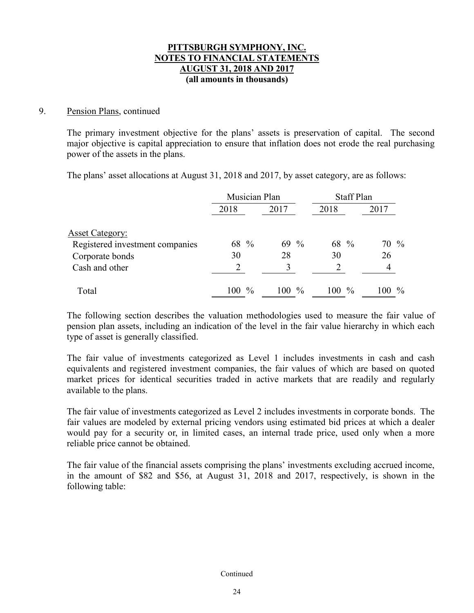### 9. Pension Plans, continued

The primary investment objective for the plans' assets is preservation of capital. The second major objective is capital appreciation to ensure that inflation does not erode the real purchasing power of the assets in the plans.

The plans' asset allocations at August 31, 2018 and 2017, by asset category, are as follows:

|                                 | Musician Plan |         | <b>Staff Plan</b> |                      |
|---------------------------------|---------------|---------|-------------------|----------------------|
|                                 | 2018          | 2017    | 2018              | 2017                 |
| <b>Asset Category:</b>          |               |         |                   |                      |
| Registered investment companies | 68 %          | $69\%$  | 68 %              | 70 %                 |
| Corporate bonds                 | 30            | 28      | 30                | 26                   |
| Cash and other                  | 2             |         |                   |                      |
| Total                           | $100\%$       | $100\%$ | $100\%$           | $\frac{0}{0}$<br>100 |

The following section describes the valuation methodologies used to measure the fair value of pension plan assets, including an indication of the level in the fair value hierarchy in which each type of asset is generally classified.

The fair value of investments categorized as Level 1 includes investments in cash and cash equivalents and registered investment companies, the fair values of which are based on quoted market prices for identical securities traded in active markets that are readily and regularly available to the plans.

The fair value of investments categorized as Level 2 includes investments in corporate bonds. The fair values are modeled by external pricing vendors using estimated bid prices at which a dealer would pay for a security or, in limited cases, an internal trade price, used only when a more reliable price cannot be obtained.

The fair value of the financial assets comprising the plans' investments excluding accrued income, in the amount of \$82 and \$56, at August 31, 2018 and 2017, respectively, is shown in the following table: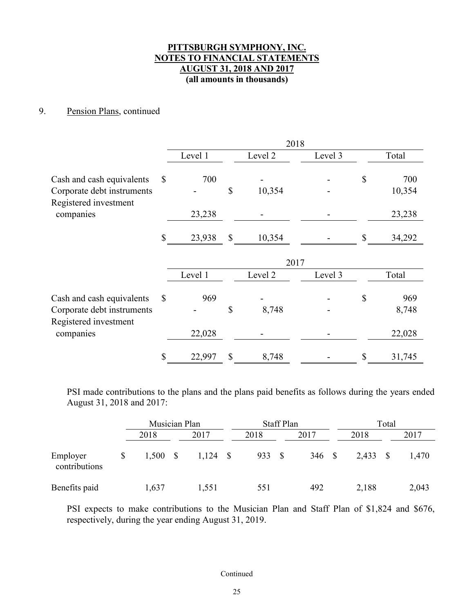### 9. Pension Plans, continued

|                                                                                  |              |         |              | 2018    |         |                     |
|----------------------------------------------------------------------------------|--------------|---------|--------------|---------|---------|---------------------|
|                                                                                  |              | Level 1 |              | Level 2 | Level 3 | Total               |
| Cash and cash equivalents<br>Corporate debt instruments<br>Registered investment | $\mathbb{S}$ | 700     | \$           | 10,354  |         | \$<br>700<br>10,354 |
| companies                                                                        |              | 23,238  |              |         |         | 23,238              |
|                                                                                  | \$           | 23,938  | \$           | 10,354  |         | \$<br>34,292        |
|                                                                                  |              |         |              | 2017    |         |                     |
|                                                                                  |              | Level 1 |              | Level 2 | Level 3 | Total               |
| Cash and cash equivalents<br>Corporate debt instruments                          | $\mathbb{S}$ | 969     | \$           | 8,748   |         | \$<br>969<br>8,748  |
| Registered investment<br>companies                                               |              | 22,028  |              |         |         | 22,028              |
|                                                                                  | \$           | 22,997  | $\mathbb{S}$ | 8,748   |         | \$<br>31,745        |

PSI made contributions to the plans and the plans paid benefits as follows during the years ended August 31, 2018 and 2017:

|                           | Musician Plan |  |            | <b>Staff Plan</b> |      | Total       |            |  |       |
|---------------------------|---------------|--|------------|-------------------|------|-------------|------------|--|-------|
|                           | 2018          |  | 2017       | 2018              |      | 2017        | 2018       |  | 2017  |
| Employer<br>contributions | 1,500         |  | $1,124$ \$ | 933               | - \$ | $346 \quad$ | $2,433$ \$ |  | 1,470 |
| Benefits paid             | 1,637         |  | 1,551      | 551               |      | 492         | 2,188      |  | 2,043 |

PSI expects to make contributions to the Musician Plan and Staff Plan of \$1,824 and \$676, respectively, during the year ending August 31, 2019.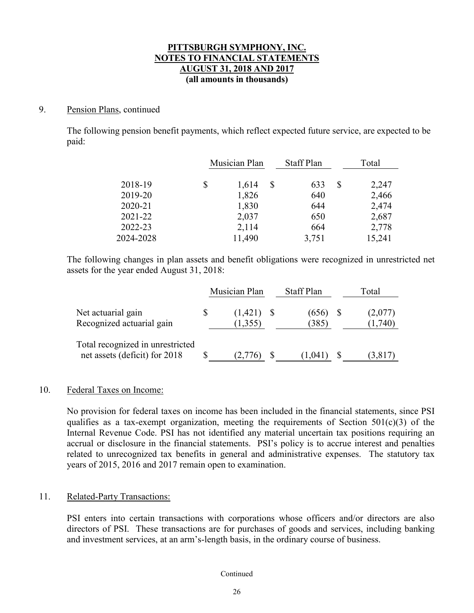### 9. Pension Plans, continued

The following pension benefit payments, which reflect expected future service, are expected to be paid:

|           | Musician Plan | <b>Staff Plan</b> |   | Total  |
|-----------|---------------|-------------------|---|--------|
|           |               |                   |   |        |
| 2018-19   | \$<br>1,614   | 633               | S | 2,247  |
| 2019-20   | 1,826         | 640               |   | 2,466  |
| 2020-21   | 1,830         | 644               |   | 2,474  |
| 2021-22   | 2,037         | 650               |   | 2,687  |
| 2022-23   | 2,114         | 664               |   | 2,778  |
| 2024-2028 | 11,490        | 3,751             |   | 15,241 |

The following changes in plan assets and benefit obligations were recognized in unrestricted net assets for the year ended August 31, 2018:

|                                                                   | Musician Plan           | <b>Staff Plan</b> | Total              |
|-------------------------------------------------------------------|-------------------------|-------------------|--------------------|
| Net actuarial gain<br>Recognized actuarial gain                   | $(1,421)$ \$<br>(1,355) | (656)<br>(385)    | (2,077)<br>(1,740) |
| Total recognized in unrestricted<br>net assets (deficit) for 2018 | (2, 7/6)                | (1.041)           | (3,817)            |

### 10. Federal Taxes on Income:

No provision for federal taxes on income has been included in the financial statements, since PSI qualifies as a tax-exempt organization, meeting the requirements of Section  $501(c)(3)$  of the Internal Revenue Code. PSI has not identified any material uncertain tax positions requiring an accrual or disclosure in the financial statements. PSI's policy is to accrue interest and penalties related to unrecognized tax benefits in general and administrative expenses. The statutory tax years of 2015, 2016 and 2017 remain open to examination.

### 11. Related-Party Transactions:

PSI enters into certain transactions with corporations whose officers and/or directors are also directors of PSI. These transactions are for purchases of goods and services, including banking and investment services, at an arm's-length basis, in the ordinary course of business.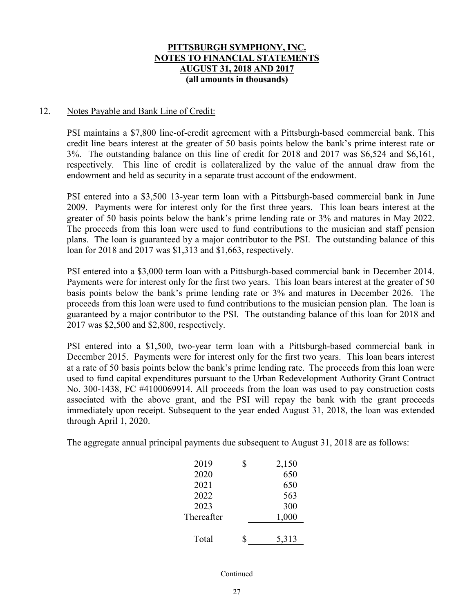### 12. Notes Payable and Bank Line of Credit:

PSI maintains a \$7,800 line-of-credit agreement with a Pittsburgh-based commercial bank. This credit line bears interest at the greater of 50 basis points below the bank's prime interest rate or 3%. The outstanding balance on this line of credit for 2018 and 2017 was \$6,524 and \$6,161, respectively. This line of credit is collateralized by the value of the annual draw from the endowment and held as security in a separate trust account of the endowment.

PSI entered into a \$3,500 13-year term loan with a Pittsburgh-based commercial bank in June 2009. Payments were for interest only for the first three years. This loan bears interest at the greater of 50 basis points below the bank's prime lending rate or 3% and matures in May 2022. The proceeds from this loan were used to fund contributions to the musician and staff pension plans. The loan is guaranteed by a major contributor to the PSI. The outstanding balance of this loan for 2018 and 2017 was \$1,313 and \$1,663, respectively.

PSI entered into a \$3,000 term loan with a Pittsburgh-based commercial bank in December 2014. Payments were for interest only for the first two years. This loan bears interest at the greater of 50 basis points below the bank's prime lending rate or 3% and matures in December 2026. The proceeds from this loan were used to fund contributions to the musician pension plan. The loan is guaranteed by a major contributor to the PSI. The outstanding balance of this loan for 2018 and 2017 was \$2,500 and \$2,800, respectively.

PSI entered into a \$1,500, two-year term loan with a Pittsburgh-based commercial bank in December 2015. Payments were for interest only for the first two years. This loan bears interest at a rate of 50 basis points below the bank's prime lending rate. The proceeds from this loan were used to fund capital expenditures pursuant to the Urban Redevelopment Authority Grant Contract No. 300-1438, FC #4100069914. All proceeds from the loan was used to pay construction costs associated with the above grant, and the PSI will repay the bank with the grant proceeds immediately upon receipt. Subsequent to the year ended August 31, 2018, the loan was extended through April 1, 2020.

The aggregate annual principal payments due subsequent to August 31, 2018 are as follows:

| 2019       | \$<br>2,150 |
|------------|-------------|
| 2020       | 650         |
| 2021       | 650         |
| 2022       | 563         |
| 2023       | 300         |
| Thereafter | 1,000       |
|            |             |
| Total      | \$<br>5,313 |
|            |             |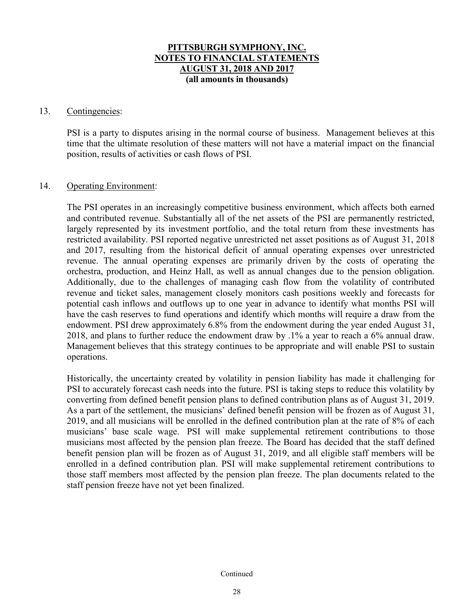#### 13. Contingencies:

PSI is a party to disputes arising in the normal course of business. Management believes at this time that the ultimate resolution of these matters will not have a material impact on the financial position, results of activities or cash flows of PSI.

### 14. Operating Environment:

The PSI operates in an increasingly competitive business environment, which affects both earned and contributed revenue. Substantially all of the net assets of the PSI are permanently restricted, largely represented by its investment portfolio, and the total return from these investments has restricted availability. PSI reported negative unrestricted net asset positions as of August 31, 2018 and 2017, resulting from the historical deficit of annual operating expenses over unrestricted revenue. The annual operating expenses are primarily driven by the costs of operating the orchestra, production, and Heinz Hall, as well as annual changes due to the pension obligation. Additionally, due to the challenges of managing cash flow from the volatility of contributed revenue and ticket sales, management closely monitors cash positions weekly and forecasts for potential cash inflows and outflows up to one year in advance to identify what months PSI will have the cash reserves to fund operations and identify which months will require a draw from the endowment. PSI drew approximately 6.8% from the endowment during the year ended August 31, 2018, and plans to further reduce the endowment draw by .1% a year to reach a 6% annual draw. Management believes that this strategy continues to be appropriate and will enable PSI to sustain operations.

Historically, the uncertainty created by volatility in pension liability has made it challenging for PSI to accurately forecast cash needs into the future. PSI is taking steps to reduce this volatility by converting from defined benefit pension plans to defined contribution plans as of August 31, 2019. As a part of the settlement, the musicians' defined benefit pension will be frozen as of August 31, 2019, and all musicians will be enrolled in the defined contribution plan at the rate of 8% of each musicians' base scale wage. PSI will make supplemental retirement contributions to those musicians most affected by the pension plan freeze. The Board has decided that the staff defined benefit pension plan will be frozen as of August 31, 2019, and all eligible staff members will be enrolled in a defined contribution plan. PSI will make supplemental retirement contributions to those staff members most affected by the pension plan freeze. The plan documents related to the staff pension freeze have not yet been finalized.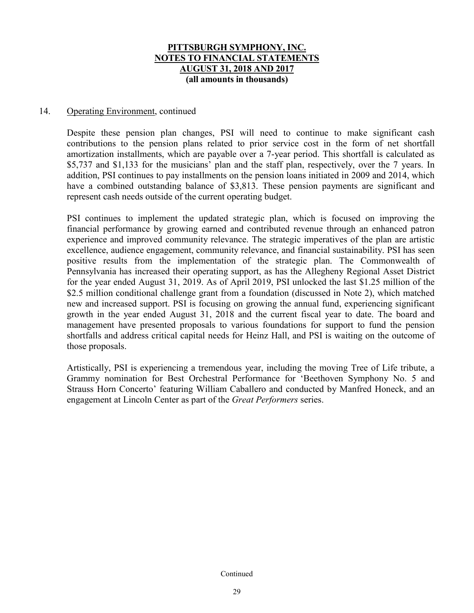### 14. Operating Environment, continued

Despite these pension plan changes, PSI will need to continue to make significant cash contributions to the pension plans related to prior service cost in the form of net shortfall amortization installments, which are payable over a 7-year period. This shortfall is calculated as \$5,737 and \$1,133 for the musicians' plan and the staff plan, respectively, over the 7 years. In addition, PSI continues to pay installments on the pension loans initiated in 2009 and 2014, which have a combined outstanding balance of \$3,813. These pension payments are significant and represent cash needs outside of the current operating budget.

PSI continues to implement the updated strategic plan, which is focused on improving the financial performance by growing earned and contributed revenue through an enhanced patron experience and improved community relevance. The strategic imperatives of the plan are artistic excellence, audience engagement, community relevance, and financial sustainability. PSI has seen positive results from the implementation of the strategic plan. The Commonwealth of Pennsylvania has increased their operating support, as has the Allegheny Regional Asset District for the year ended August 31, 2019. As of April 2019, PSI unlocked the last \$1.25 million of the \$2.5 million conditional challenge grant from a foundation (discussed in Note 2), which matched new and increased support. PSI is focusing on growing the annual fund, experiencing significant growth in the year ended August 31, 2018 and the current fiscal year to date. The board and management have presented proposals to various foundations for support to fund the pension shortfalls and address critical capital needs for Heinz Hall, and PSI is waiting on the outcome of those proposals.

Artistically, PSI is experiencing a tremendous year, including the moving Tree of Life tribute, a Grammy nomination for Best Orchestral Performance for 'Beethoven Symphony No. 5 and Strauss Horn Concerto' featuring William Caballero and conducted by Manfred Honeck, and an engagement at Lincoln Center as part of the *Great Performers* series.